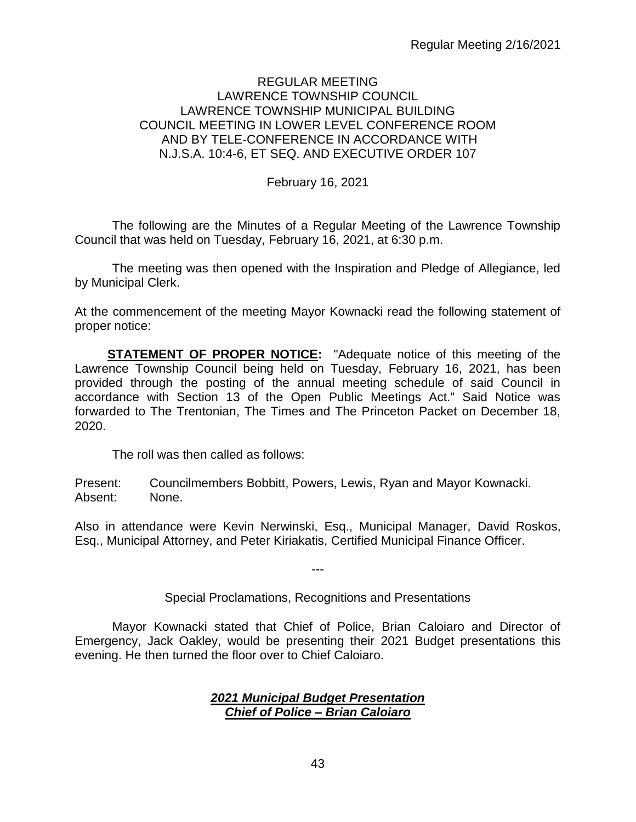# REGULAR MEETING LAWRENCE TOWNSHIP COUNCIL LAWRENCE TOWNSHIP MUNICIPAL BUILDING COUNCIL MEETING IN LOWER LEVEL CONFERENCE ROOM AND BY TELE-CONFERENCE IN ACCORDANCE WITH N.J.S.A. 10:4-6, ET SEQ. AND EXECUTIVE ORDER 107

February 16, 2021

The following are the Minutes of a Regular Meeting of the Lawrence Township Council that was held on Tuesday, February 16, 2021, at 6:30 p.m.

The meeting was then opened with the Inspiration and Pledge of Allegiance, led by Municipal Clerk.

At the commencement of the meeting Mayor Kownacki read the following statement of proper notice:

**STATEMENT OF PROPER NOTICE:** "Adequate notice of this meeting of the Lawrence Township Council being held on Tuesday, February 16, 2021, has been provided through the posting of the annual meeting schedule of said Council in accordance with Section 13 of the Open Public Meetings Act." Said Notice was forwarded to The Trentonian, The Times and The Princeton Packet on December 18, 2020.

The roll was then called as follows:

Present: Councilmembers Bobbitt, Powers, Lewis, Ryan and Mayor Kownacki. Absent: None.

Also in attendance were Kevin Nerwinski, Esq., Municipal Manager, David Roskos, Esq., Municipal Attorney, and Peter Kiriakatis, Certified Municipal Finance Officer.

Special Proclamations, Recognitions and Presentations

---

Mayor Kownacki stated that Chief of Police, Brian Caloiaro and Director of Emergency, Jack Oakley, would be presenting their 2021 Budget presentations this evening. He then turned the floor over to Chief Caloiaro.

#### *2021 Municipal Budget Presentation Chief of Police – Brian Caloiaro*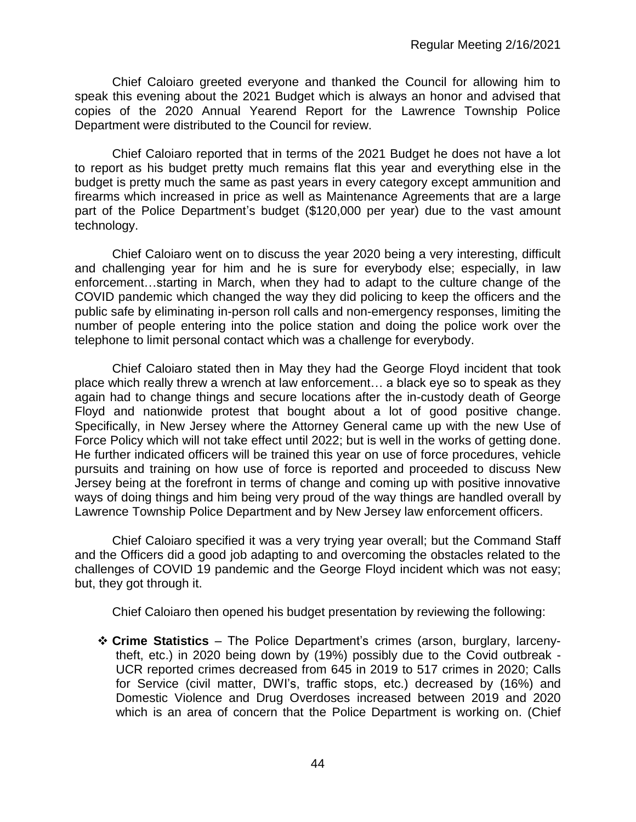Chief Caloiaro greeted everyone and thanked the Council for allowing him to speak this evening about the 2021 Budget which is always an honor and advised that copies of the 2020 Annual Yearend Report for the Lawrence Township Police Department were distributed to the Council for review.

Chief Caloiaro reported that in terms of the 2021 Budget he does not have a lot to report as his budget pretty much remains flat this year and everything else in the budget is pretty much the same as past years in every category except ammunition and firearms which increased in price as well as Maintenance Agreements that are a large part of the Police Department's budget (\$120,000 per year) due to the vast amount technology.

Chief Caloiaro went on to discuss the year 2020 being a very interesting, difficult and challenging year for him and he is sure for everybody else; especially, in law enforcement…starting in March, when they had to adapt to the culture change of the COVID pandemic which changed the way they did policing to keep the officers and the public safe by eliminating in-person roll calls and non-emergency responses, limiting the number of people entering into the police station and doing the police work over the telephone to limit personal contact which was a challenge for everybody.

Chief Caloiaro stated then in May they had the George Floyd incident that took place which really threw a wrench at law enforcement… a black eye so to speak as they again had to change things and secure locations after the in-custody death of George Floyd and nationwide protest that bought about a lot of good positive change. Specifically, in New Jersey where the Attorney General came up with the new Use of Force Policy which will not take effect until 2022; but is well in the works of getting done. He further indicated officers will be trained this year on use of force procedures, vehicle pursuits and training on how use of force is reported and proceeded to discuss New Jersey being at the forefront in terms of change and coming up with positive innovative ways of doing things and him being very proud of the way things are handled overall by Lawrence Township Police Department and by New Jersey law enforcement officers.

Chief Caloiaro specified it was a very trying year overall; but the Command Staff and the Officers did a good job adapting to and overcoming the obstacles related to the challenges of COVID 19 pandemic and the George Floyd incident which was not easy; but, they got through it.

Chief Caloiaro then opened his budget presentation by reviewing the following:

❖ **Crime Statistics** – The Police Department's crimes (arson, burglary, larcenytheft, etc.) in 2020 being down by (19%) possibly due to the Covid outbreak - UCR reported crimes decreased from 645 in 2019 to 517 crimes in 2020; Calls for Service (civil matter, DWI's, traffic stops, etc.) decreased by (16%) and Domestic Violence and Drug Overdoses increased between 2019 and 2020 which is an area of concern that the Police Department is working on. (Chief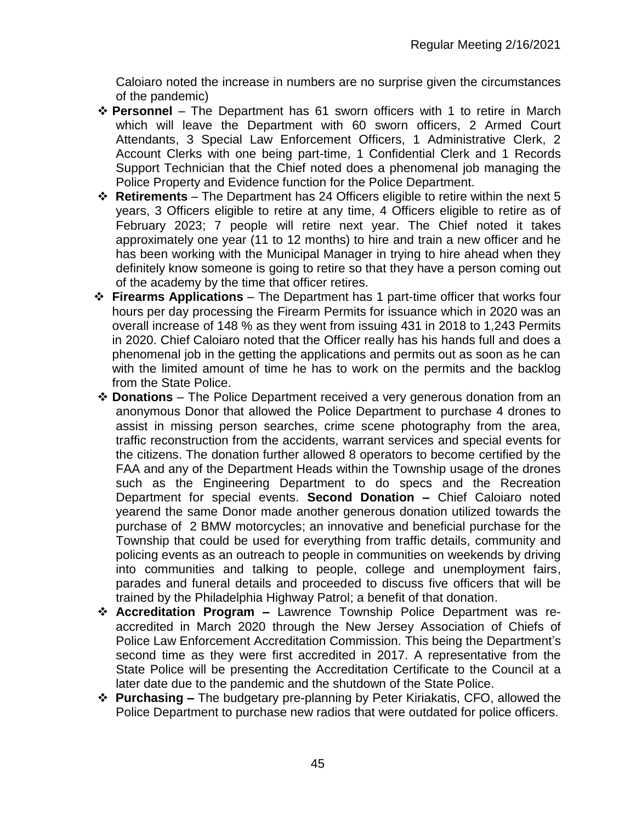Caloiaro noted the increase in numbers are no surprise given the circumstances of the pandemic)

- ❖ **Personnel** The Department has 61 sworn officers with 1 to retire in March which will leave the Department with 60 sworn officers, 2 Armed Court Attendants, 3 Special Law Enforcement Officers, 1 Administrative Clerk, 2 Account Clerks with one being part-time, 1 Confidential Clerk and 1 Records Support Technician that the Chief noted does a phenomenal job managing the Police Property and Evidence function for the Police Department.
- ❖ **Retirements**  The Department has 24 Officers eligible to retire within the next 5 years, 3 Officers eligible to retire at any time, 4 Officers eligible to retire as of February 2023; 7 people will retire next year. The Chief noted it takes approximately one year (11 to 12 months) to hire and train a new officer and he has been working with the Municipal Manager in trying to hire ahead when they definitely know someone is going to retire so that they have a person coming out of the academy by the time that officer retires.
- ❖ **Firearms Applications** The Department has 1 part-time officer that works four hours per day processing the Firearm Permits for issuance which in 2020 was an overall increase of 148 % as they went from issuing 431 in 2018 to 1,243 Permits in 2020. Chief Caloiaro noted that the Officer really has his hands full and does a phenomenal job in the getting the applications and permits out as soon as he can with the limited amount of time he has to work on the permits and the backlog from the State Police.
- ❖ **Donations** The Police Department received a very generous donation from an anonymous Donor that allowed the Police Department to purchase 4 drones to assist in missing person searches, crime scene photography from the area, traffic reconstruction from the accidents, warrant services and special events for the citizens. The donation further allowed 8 operators to become certified by the FAA and any of the Department Heads within the Township usage of the drones such as the Engineering Department to do specs and the Recreation Department for special events. **Second Donation –** Chief Caloiaro noted yearend the same Donor made another generous donation utilized towards the purchase of 2 BMW motorcycles; an innovative and beneficial purchase for the Township that could be used for everything from traffic details, community and policing events as an outreach to people in communities on weekends by driving into communities and talking to people, college and unemployment fairs, parades and funeral details and proceeded to discuss five officers that will be trained by the Philadelphia Highway Patrol; a benefit of that donation.
- ❖ **Accreditation Program –** Lawrence Township Police Department was reaccredited in March 2020 through the New Jersey Association of Chiefs of Police Law Enforcement Accreditation Commission. This being the Department's second time as they were first accredited in 2017. A representative from the State Police will be presenting the Accreditation Certificate to the Council at a later date due to the pandemic and the shutdown of the State Police.
- ❖ **Purchasing –** The budgetary pre-planning by Peter Kiriakatis, CFO, allowed the Police Department to purchase new radios that were outdated for police officers.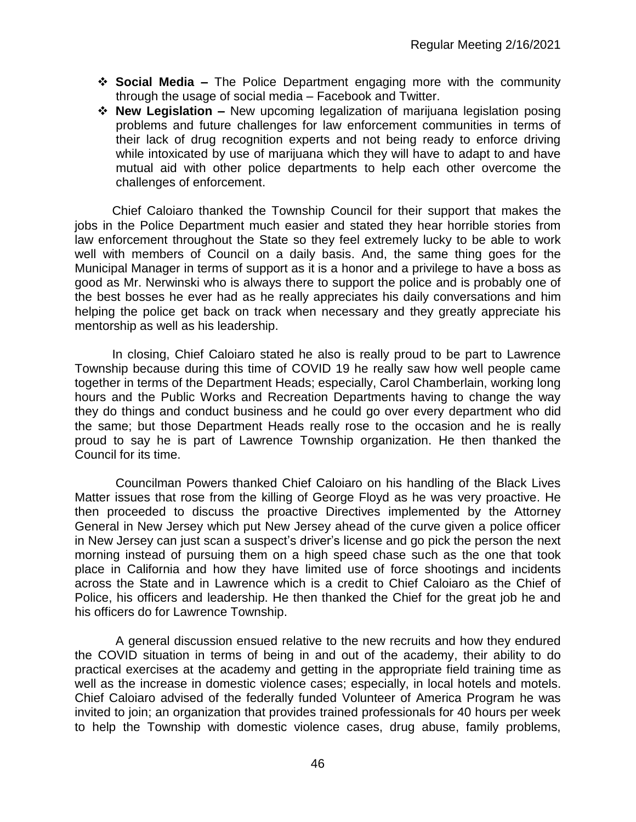- ❖ **Social Media –** The Police Department engaging more with the community through the usage of social media – Facebook and Twitter.
- ❖ **New Legislation –** New upcoming legalization of marijuana legislation posing problems and future challenges for law enforcement communities in terms of their lack of drug recognition experts and not being ready to enforce driving while intoxicated by use of marijuana which they will have to adapt to and have mutual aid with other police departments to help each other overcome the challenges of enforcement.

Chief Caloiaro thanked the Township Council for their support that makes the jobs in the Police Department much easier and stated they hear horrible stories from law enforcement throughout the State so they feel extremely lucky to be able to work well with members of Council on a daily basis. And, the same thing goes for the Municipal Manager in terms of support as it is a honor and a privilege to have a boss as good as Mr. Nerwinski who is always there to support the police and is probably one of the best bosses he ever had as he really appreciates his daily conversations and him helping the police get back on track when necessary and they greatly appreciate his mentorship as well as his leadership.

In closing, Chief Caloiaro stated he also is really proud to be part to Lawrence Township because during this time of COVID 19 he really saw how well people came together in terms of the Department Heads; especially, Carol Chamberlain, working long hours and the Public Works and Recreation Departments having to change the way they do things and conduct business and he could go over every department who did the same; but those Department Heads really rose to the occasion and he is really proud to say he is part of Lawrence Township organization. He then thanked the Council for its time.

Councilman Powers thanked Chief Caloiaro on his handling of the Black Lives Matter issues that rose from the killing of George Floyd as he was very proactive. He then proceeded to discuss the proactive Directives implemented by the Attorney General in New Jersey which put New Jersey ahead of the curve given a police officer in New Jersey can just scan a suspect's driver's license and go pick the person the next morning instead of pursuing them on a high speed chase such as the one that took place in California and how they have limited use of force shootings and incidents across the State and in Lawrence which is a credit to Chief Caloiaro as the Chief of Police, his officers and leadership. He then thanked the Chief for the great job he and his officers do for Lawrence Township.

A general discussion ensued relative to the new recruits and how they endured the COVID situation in terms of being in and out of the academy, their ability to do practical exercises at the academy and getting in the appropriate field training time as well as the increase in domestic violence cases; especially, in local hotels and motels. Chief Caloiaro advised of the federally funded Volunteer of America Program he was invited to join; an organization that provides trained professionals for 40 hours per week to help the Township with domestic violence cases, drug abuse, family problems,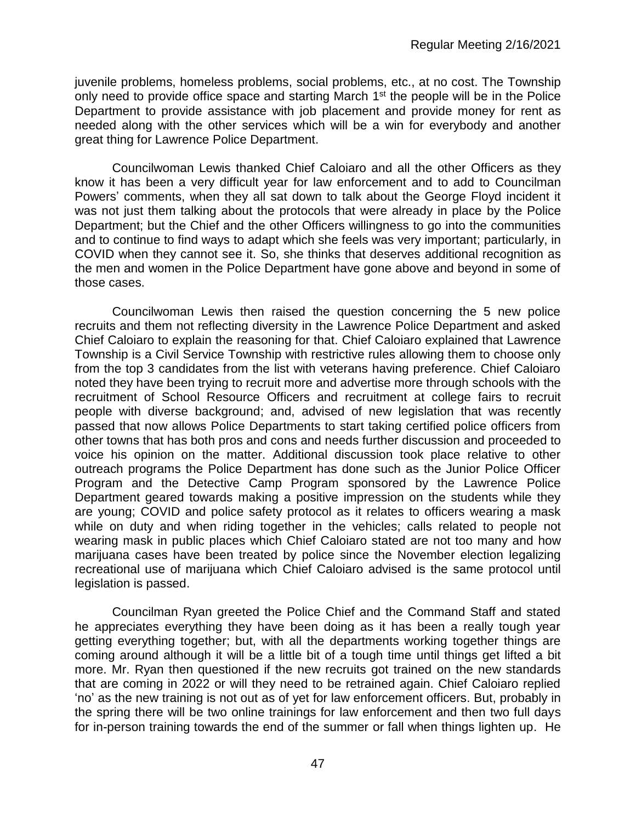juvenile problems, homeless problems, social problems, etc., at no cost. The Township only need to provide office space and starting March 1<sup>st</sup> the people will be in the Police Department to provide assistance with job placement and provide money for rent as needed along with the other services which will be a win for everybody and another great thing for Lawrence Police Department.

Councilwoman Lewis thanked Chief Caloiaro and all the other Officers as they know it has been a very difficult year for law enforcement and to add to Councilman Powers' comments, when they all sat down to talk about the George Floyd incident it was not just them talking about the protocols that were already in place by the Police Department; but the Chief and the other Officers willingness to go into the communities and to continue to find ways to adapt which she feels was very important; particularly, in COVID when they cannot see it. So, she thinks that deserves additional recognition as the men and women in the Police Department have gone above and beyond in some of those cases.

Councilwoman Lewis then raised the question concerning the 5 new police recruits and them not reflecting diversity in the Lawrence Police Department and asked Chief Caloiaro to explain the reasoning for that. Chief Caloiaro explained that Lawrence Township is a Civil Service Township with restrictive rules allowing them to choose only from the top 3 candidates from the list with veterans having preference. Chief Caloiaro noted they have been trying to recruit more and advertise more through schools with the recruitment of School Resource Officers and recruitment at college fairs to recruit people with diverse background; and, advised of new legislation that was recently passed that now allows Police Departments to start taking certified police officers from other towns that has both pros and cons and needs further discussion and proceeded to voice his opinion on the matter. Additional discussion took place relative to other outreach programs the Police Department has done such as the Junior Police Officer Program and the Detective Camp Program sponsored by the Lawrence Police Department geared towards making a positive impression on the students while they are young; COVID and police safety protocol as it relates to officers wearing a mask while on duty and when riding together in the vehicles; calls related to people not wearing mask in public places which Chief Caloiaro stated are not too many and how marijuana cases have been treated by police since the November election legalizing recreational use of marijuana which Chief Caloiaro advised is the same protocol until legislation is passed.

Councilman Ryan greeted the Police Chief and the Command Staff and stated he appreciates everything they have been doing as it has been a really tough year getting everything together; but, with all the departments working together things are coming around although it will be a little bit of a tough time until things get lifted a bit more. Mr. Ryan then questioned if the new recruits got trained on the new standards that are coming in 2022 or will they need to be retrained again. Chief Caloiaro replied 'no' as the new training is not out as of yet for law enforcement officers. But, probably in the spring there will be two online trainings for law enforcement and then two full days for in-person training towards the end of the summer or fall when things lighten up. He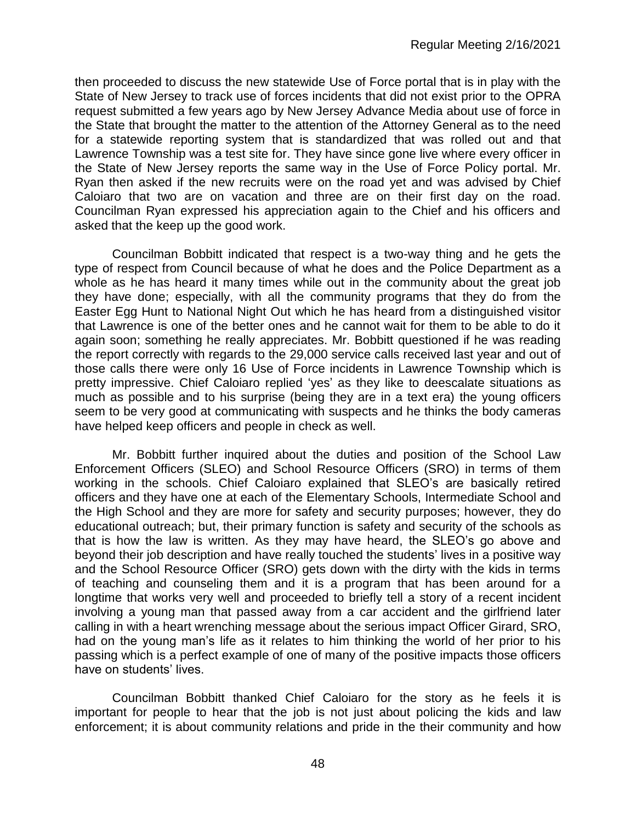then proceeded to discuss the new statewide Use of Force portal that is in play with the State of New Jersey to track use of forces incidents that did not exist prior to the OPRA request submitted a few years ago by New Jersey Advance Media about use of force in the State that brought the matter to the attention of the Attorney General as to the need for a statewide reporting system that is standardized that was rolled out and that Lawrence Township was a test site for. They have since gone live where every officer in the State of New Jersey reports the same way in the Use of Force Policy portal. Mr. Ryan then asked if the new recruits were on the road yet and was advised by Chief Caloiaro that two are on vacation and three are on their first day on the road. Councilman Ryan expressed his appreciation again to the Chief and his officers and asked that the keep up the good work.

Councilman Bobbitt indicated that respect is a two-way thing and he gets the type of respect from Council because of what he does and the Police Department as a whole as he has heard it many times while out in the community about the great job they have done; especially, with all the community programs that they do from the Easter Egg Hunt to National Night Out which he has heard from a distinguished visitor that Lawrence is one of the better ones and he cannot wait for them to be able to do it again soon; something he really appreciates. Mr. Bobbitt questioned if he was reading the report correctly with regards to the 29,000 service calls received last year and out of those calls there were only 16 Use of Force incidents in Lawrence Township which is pretty impressive. Chief Caloiaro replied 'yes' as they like to deescalate situations as much as possible and to his surprise (being they are in a text era) the young officers seem to be very good at communicating with suspects and he thinks the body cameras have helped keep officers and people in check as well.

Mr. Bobbitt further inquired about the duties and position of the School Law Enforcement Officers (SLEO) and School Resource Officers (SRO) in terms of them working in the schools. Chief Caloiaro explained that SLEO's are basically retired officers and they have one at each of the Elementary Schools, Intermediate School and the High School and they are more for safety and security purposes; however, they do educational outreach; but, their primary function is safety and security of the schools as that is how the law is written. As they may have heard, the SLEO's go above and beyond their job description and have really touched the students' lives in a positive way and the School Resource Officer (SRO) gets down with the dirty with the kids in terms of teaching and counseling them and it is a program that has been around for a longtime that works very well and proceeded to briefly tell a story of a recent incident involving a young man that passed away from a car accident and the girlfriend later calling in with a heart wrenching message about the serious impact Officer Girard, SRO, had on the young man's life as it relates to him thinking the world of her prior to his passing which is a perfect example of one of many of the positive impacts those officers have on students' lives.

Councilman Bobbitt thanked Chief Caloiaro for the story as he feels it is important for people to hear that the job is not just about policing the kids and law enforcement; it is about community relations and pride in the their community and how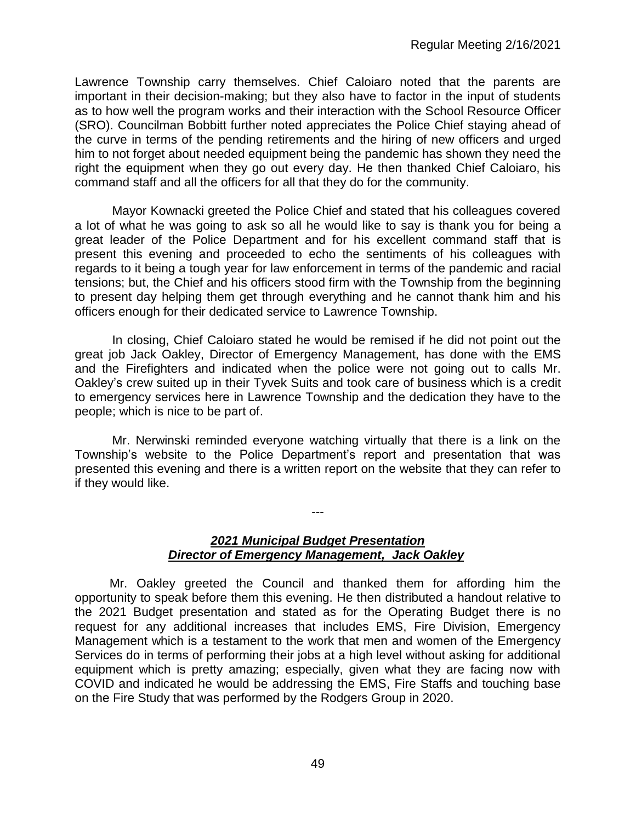Lawrence Township carry themselves. Chief Caloiaro noted that the parents are important in their decision-making; but they also have to factor in the input of students as to how well the program works and their interaction with the School Resource Officer (SRO). Councilman Bobbitt further noted appreciates the Police Chief staying ahead of the curve in terms of the pending retirements and the hiring of new officers and urged him to not forget about needed equipment being the pandemic has shown they need the right the equipment when they go out every day. He then thanked Chief Caloiaro, his command staff and all the officers for all that they do for the community.

Mayor Kownacki greeted the Police Chief and stated that his colleagues covered a lot of what he was going to ask so all he would like to say is thank you for being a great leader of the Police Department and for his excellent command staff that is present this evening and proceeded to echo the sentiments of his colleagues with regards to it being a tough year for law enforcement in terms of the pandemic and racial tensions; but, the Chief and his officers stood firm with the Township from the beginning to present day helping them get through everything and he cannot thank him and his officers enough for their dedicated service to Lawrence Township.

In closing, Chief Caloiaro stated he would be remised if he did not point out the great job Jack Oakley, Director of Emergency Management, has done with the EMS and the Firefighters and indicated when the police were not going out to calls Mr. Oakley's crew suited up in their Tyvek Suits and took care of business which is a credit to emergency services here in Lawrence Township and the dedication they have to the people; which is nice to be part of.

Mr. Nerwinski reminded everyone watching virtually that there is a link on the Township's website to the Police Department's report and presentation that was presented this evening and there is a written report on the website that they can refer to if they would like.

---

# *2021 Municipal Budget Presentation Director of Emergency Management, Jack Oakley*

 Mr. Oakley greeted the Council and thanked them for affording him the opportunity to speak before them this evening. He then distributed a handout relative to the 2021 Budget presentation and stated as for the Operating Budget there is no request for any additional increases that includes EMS, Fire Division, Emergency Management which is a testament to the work that men and women of the Emergency Services do in terms of performing their jobs at a high level without asking for additional equipment which is pretty amazing; especially, given what they are facing now with COVID and indicated he would be addressing the EMS, Fire Staffs and touching base on the Fire Study that was performed by the Rodgers Group in 2020.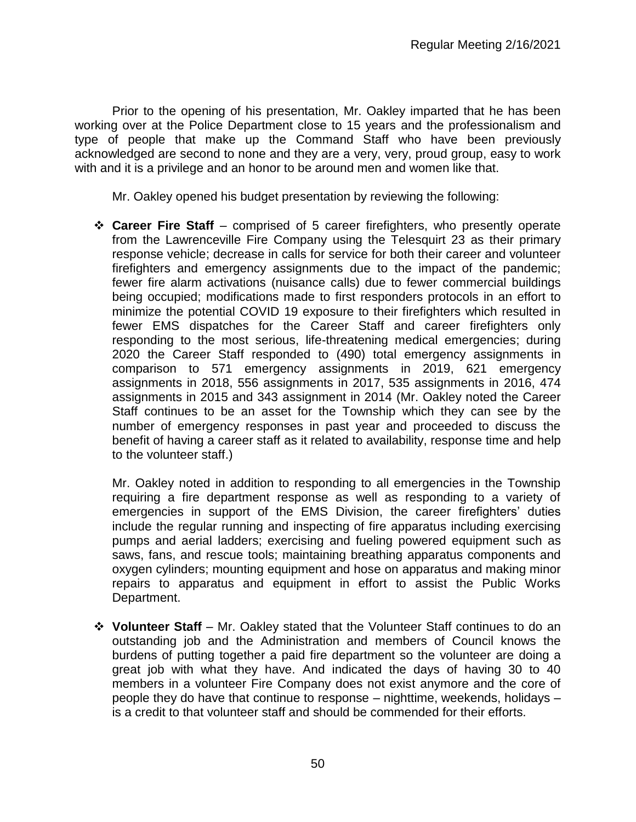Prior to the opening of his presentation, Mr. Oakley imparted that he has been working over at the Police Department close to 15 years and the professionalism and type of people that make up the Command Staff who have been previously acknowledged are second to none and they are a very, very, proud group, easy to work with and it is a privilege and an honor to be around men and women like that.

Mr. Oakley opened his budget presentation by reviewing the following:

❖ **Career Fire Staff** – comprised of 5 career firefighters, who presently operate from the Lawrenceville Fire Company using the Telesquirt 23 as their primary response vehicle; decrease in calls for service for both their career and volunteer firefighters and emergency assignments due to the impact of the pandemic; fewer fire alarm activations (nuisance calls) due to fewer commercial buildings being occupied; modifications made to first responders protocols in an effort to minimize the potential COVID 19 exposure to their firefighters which resulted in fewer EMS dispatches for the Career Staff and career firefighters only responding to the most serious, life-threatening medical emergencies; during 2020 the Career Staff responded to (490) total emergency assignments in comparison to 571 emergency assignments in 2019, 621 emergency assignments in 2018, 556 assignments in 2017, 535 assignments in 2016, 474 assignments in 2015 and 343 assignment in 2014 (Mr. Oakley noted the Career Staff continues to be an asset for the Township which they can see by the number of emergency responses in past year and proceeded to discuss the benefit of having a career staff as it related to availability, response time and help to the volunteer staff.)

Mr. Oakley noted in addition to responding to all emergencies in the Township requiring a fire department response as well as responding to a variety of emergencies in support of the EMS Division, the career firefighters' duties include the regular running and inspecting of fire apparatus including exercising pumps and aerial ladders; exercising and fueling powered equipment such as saws, fans, and rescue tools; maintaining breathing apparatus components and oxygen cylinders; mounting equipment and hose on apparatus and making minor repairs to apparatus and equipment in effort to assist the Public Works Department.

❖ **Volunteer Staff** – Mr. Oakley stated that the Volunteer Staff continues to do an outstanding job and the Administration and members of Council knows the burdens of putting together a paid fire department so the volunteer are doing a great job with what they have. And indicated the days of having 30 to 40 members in a volunteer Fire Company does not exist anymore and the core of people they do have that continue to response – nighttime, weekends, holidays – is a credit to that volunteer staff and should be commended for their efforts.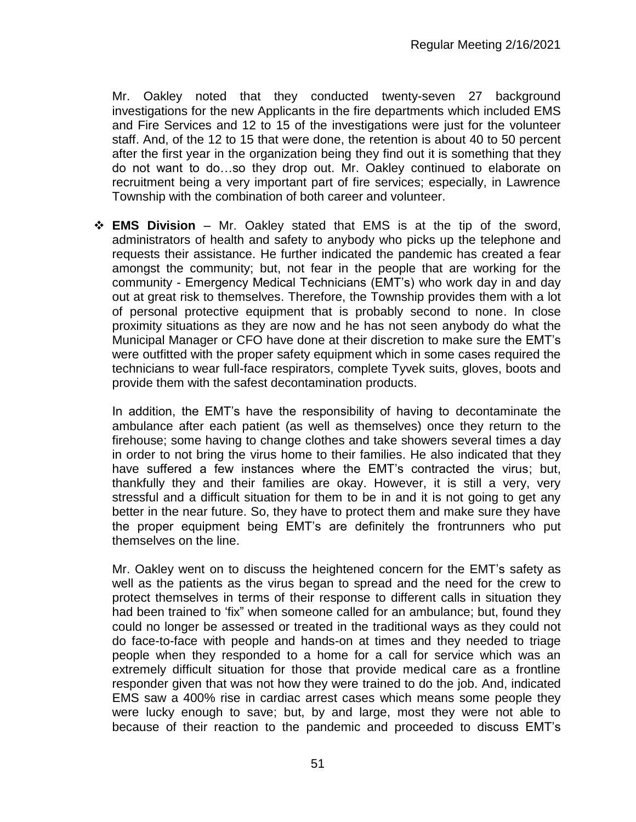Mr. Oakley noted that they conducted twenty-seven 27 background investigations for the new Applicants in the fire departments which included EMS and Fire Services and 12 to 15 of the investigations were just for the volunteer staff. And, of the 12 to 15 that were done, the retention is about 40 to 50 percent after the first year in the organization being they find out it is something that they do not want to do…so they drop out. Mr. Oakley continued to elaborate on recruitment being a very important part of fire services; especially, in Lawrence Township with the combination of both career and volunteer.

❖ **EMS Division** – Mr. Oakley stated that EMS is at the tip of the sword, administrators of health and safety to anybody who picks up the telephone and requests their assistance. He further indicated the pandemic has created a fear amongst the community; but, not fear in the people that are working for the community - Emergency Medical Technicians (EMT's) who work day in and day out at great risk to themselves. Therefore, the Township provides them with a lot of personal protective equipment that is probably second to none. In close proximity situations as they are now and he has not seen anybody do what the Municipal Manager or CFO have done at their discretion to make sure the EMT's were outfitted with the proper safety equipment which in some cases required the technicians to wear full-face respirators, complete Tyvek suits, gloves, boots and provide them with the safest decontamination products.

In addition, the EMT's have the responsibility of having to decontaminate the ambulance after each patient (as well as themselves) once they return to the firehouse; some having to change clothes and take showers several times a day in order to not bring the virus home to their families. He also indicated that they have suffered a few instances where the EMT's contracted the virus; but, thankfully they and their families are okay. However, it is still a very, very stressful and a difficult situation for them to be in and it is not going to get any better in the near future. So, they have to protect them and make sure they have the proper equipment being EMT's are definitely the frontrunners who put themselves on the line.

Mr. Oakley went on to discuss the heightened concern for the EMT's safety as well as the patients as the virus began to spread and the need for the crew to protect themselves in terms of their response to different calls in situation they had been trained to 'fix" when someone called for an ambulance; but, found they could no longer be assessed or treated in the traditional ways as they could not do face-to-face with people and hands-on at times and they needed to triage people when they responded to a home for a call for service which was an extremely difficult situation for those that provide medical care as a frontline responder given that was not how they were trained to do the job. And, indicated EMS saw a 400% rise in cardiac arrest cases which means some people they were lucky enough to save; but, by and large, most they were not able to because of their reaction to the pandemic and proceeded to discuss EMT's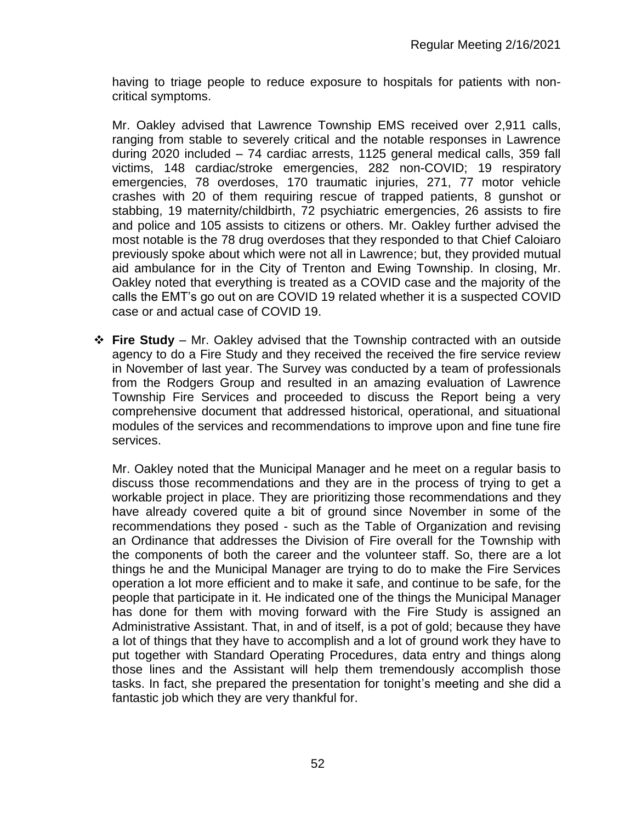having to triage people to reduce exposure to hospitals for patients with noncritical symptoms.

Mr. Oakley advised that Lawrence Township EMS received over 2,911 calls, ranging from stable to severely critical and the notable responses in Lawrence during 2020 included – 74 cardiac arrests, 1125 general medical calls, 359 fall victims, 148 cardiac/stroke emergencies, 282 non-COVID; 19 respiratory emergencies, 78 overdoses, 170 traumatic injuries, 271, 77 motor vehicle crashes with 20 of them requiring rescue of trapped patients, 8 gunshot or stabbing, 19 maternity/childbirth, 72 psychiatric emergencies, 26 assists to fire and police and 105 assists to citizens or others. Mr. Oakley further advised the most notable is the 78 drug overdoses that they responded to that Chief Caloiaro previously spoke about which were not all in Lawrence; but, they provided mutual aid ambulance for in the City of Trenton and Ewing Township. In closing, Mr. Oakley noted that everything is treated as a COVID case and the majority of the calls the EMT's go out on are COVID 19 related whether it is a suspected COVID case or and actual case of COVID 19.

❖ **Fire Study** – Mr. Oakley advised that the Township contracted with an outside agency to do a Fire Study and they received the received the fire service review in November of last year. The Survey was conducted by a team of professionals from the Rodgers Group and resulted in an amazing evaluation of Lawrence Township Fire Services and proceeded to discuss the Report being a very comprehensive document that addressed historical, operational, and situational modules of the services and recommendations to improve upon and fine tune fire services.

Mr. Oakley noted that the Municipal Manager and he meet on a regular basis to discuss those recommendations and they are in the process of trying to get a workable project in place. They are prioritizing those recommendations and they have already covered quite a bit of ground since November in some of the recommendations they posed - such as the Table of Organization and revising an Ordinance that addresses the Division of Fire overall for the Township with the components of both the career and the volunteer staff. So, there are a lot things he and the Municipal Manager are trying to do to make the Fire Services operation a lot more efficient and to make it safe, and continue to be safe, for the people that participate in it. He indicated one of the things the Municipal Manager has done for them with moving forward with the Fire Study is assigned an Administrative Assistant. That, in and of itself, is a pot of gold; because they have a lot of things that they have to accomplish and a lot of ground work they have to put together with Standard Operating Procedures, data entry and things along those lines and the Assistant will help them tremendously accomplish those tasks. In fact, she prepared the presentation for tonight's meeting and she did a fantastic job which they are very thankful for.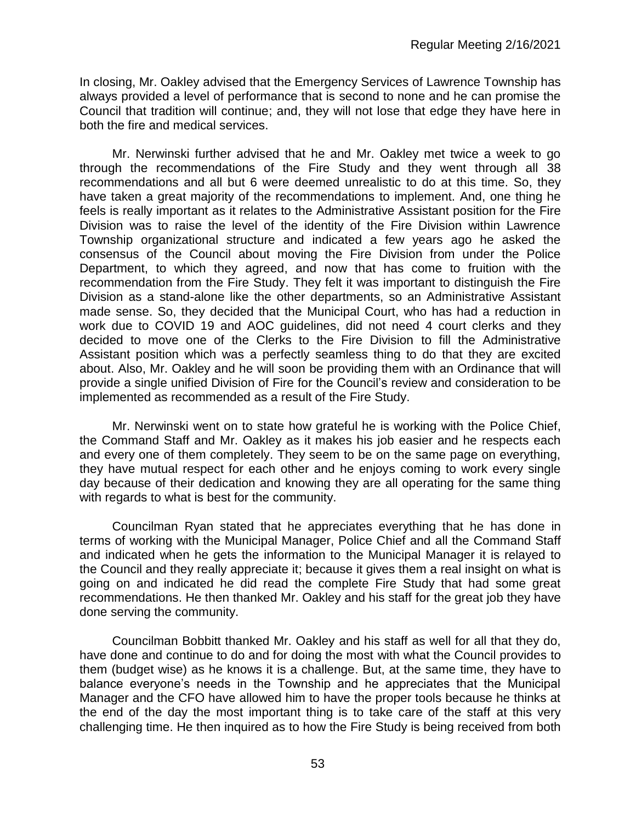In closing, Mr. Oakley advised that the Emergency Services of Lawrence Township has always provided a level of performance that is second to none and he can promise the Council that tradition will continue; and, they will not lose that edge they have here in both the fire and medical services.

Mr. Nerwinski further advised that he and Mr. Oakley met twice a week to go through the recommendations of the Fire Study and they went through all 38 recommendations and all but 6 were deemed unrealistic to do at this time. So, they have taken a great majority of the recommendations to implement. And, one thing he feels is really important as it relates to the Administrative Assistant position for the Fire Division was to raise the level of the identity of the Fire Division within Lawrence Township organizational structure and indicated a few years ago he asked the consensus of the Council about moving the Fire Division from under the Police Department, to which they agreed, and now that has come to fruition with the recommendation from the Fire Study. They felt it was important to distinguish the Fire Division as a stand-alone like the other departments, so an Administrative Assistant made sense. So, they decided that the Municipal Court, who has had a reduction in work due to COVID 19 and AOC guidelines, did not need 4 court clerks and they decided to move one of the Clerks to the Fire Division to fill the Administrative Assistant position which was a perfectly seamless thing to do that they are excited about. Also, Mr. Oakley and he will soon be providing them with an Ordinance that will provide a single unified Division of Fire for the Council's review and consideration to be implemented as recommended as a result of the Fire Study.

Mr. Nerwinski went on to state how grateful he is working with the Police Chief, the Command Staff and Mr. Oakley as it makes his job easier and he respects each and every one of them completely. They seem to be on the same page on everything, they have mutual respect for each other and he enjoys coming to work every single day because of their dedication and knowing they are all operating for the same thing with regards to what is best for the community.

Councilman Ryan stated that he appreciates everything that he has done in terms of working with the Municipal Manager, Police Chief and all the Command Staff and indicated when he gets the information to the Municipal Manager it is relayed to the Council and they really appreciate it; because it gives them a real insight on what is going on and indicated he did read the complete Fire Study that had some great recommendations. He then thanked Mr. Oakley and his staff for the great job they have done serving the community.

Councilman Bobbitt thanked Mr. Oakley and his staff as well for all that they do, have done and continue to do and for doing the most with what the Council provides to them (budget wise) as he knows it is a challenge. But, at the same time, they have to balance everyone's needs in the Township and he appreciates that the Municipal Manager and the CFO have allowed him to have the proper tools because he thinks at the end of the day the most important thing is to take care of the staff at this very challenging time. He then inquired as to how the Fire Study is being received from both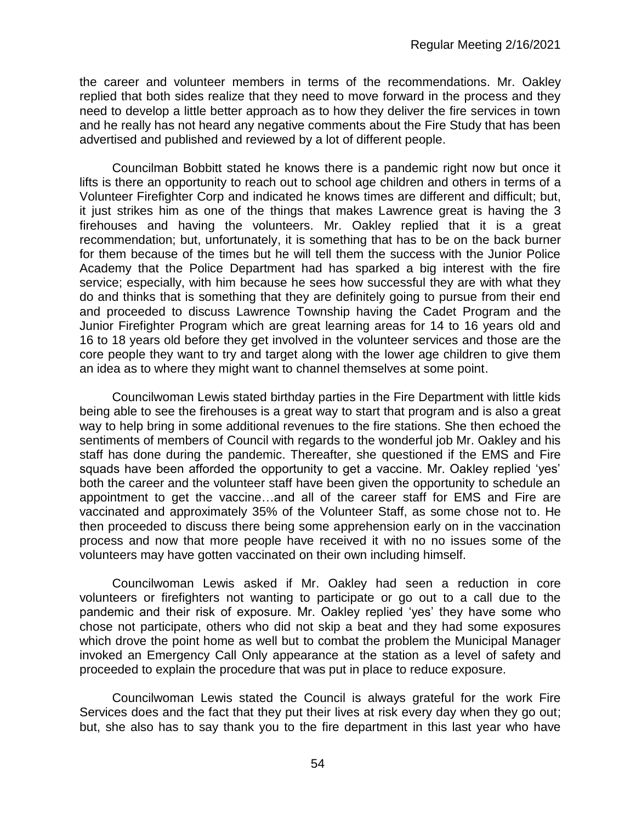the career and volunteer members in terms of the recommendations. Mr. Oakley replied that both sides realize that they need to move forward in the process and they need to develop a little better approach as to how they deliver the fire services in town and he really has not heard any negative comments about the Fire Study that has been advertised and published and reviewed by a lot of different people.

Councilman Bobbitt stated he knows there is a pandemic right now but once it lifts is there an opportunity to reach out to school age children and others in terms of a Volunteer Firefighter Corp and indicated he knows times are different and difficult; but, it just strikes him as one of the things that makes Lawrence great is having the 3 firehouses and having the volunteers. Mr. Oakley replied that it is a great recommendation; but, unfortunately, it is something that has to be on the back burner for them because of the times but he will tell them the success with the Junior Police Academy that the Police Department had has sparked a big interest with the fire service; especially, with him because he sees how successful they are with what they do and thinks that is something that they are definitely going to pursue from their end and proceeded to discuss Lawrence Township having the Cadet Program and the Junior Firefighter Program which are great learning areas for 14 to 16 years old and 16 to 18 years old before they get involved in the volunteer services and those are the core people they want to try and target along with the lower age children to give them an idea as to where they might want to channel themselves at some point.

Councilwoman Lewis stated birthday parties in the Fire Department with little kids being able to see the firehouses is a great way to start that program and is also a great way to help bring in some additional revenues to the fire stations. She then echoed the sentiments of members of Council with regards to the wonderful job Mr. Oakley and his staff has done during the pandemic. Thereafter, she questioned if the EMS and Fire squads have been afforded the opportunity to get a vaccine. Mr. Oakley replied 'yes' both the career and the volunteer staff have been given the opportunity to schedule an appointment to get the vaccine…and all of the career staff for EMS and Fire are vaccinated and approximately 35% of the Volunteer Staff, as some chose not to. He then proceeded to discuss there being some apprehension early on in the vaccination process and now that more people have received it with no no issues some of the volunteers may have gotten vaccinated on their own including himself.

Councilwoman Lewis asked if Mr. Oakley had seen a reduction in core volunteers or firefighters not wanting to participate or go out to a call due to the pandemic and their risk of exposure. Mr. Oakley replied 'yes' they have some who chose not participate, others who did not skip a beat and they had some exposures which drove the point home as well but to combat the problem the Municipal Manager invoked an Emergency Call Only appearance at the station as a level of safety and proceeded to explain the procedure that was put in place to reduce exposure.

Councilwoman Lewis stated the Council is always grateful for the work Fire Services does and the fact that they put their lives at risk every day when they go out; but, she also has to say thank you to the fire department in this last year who have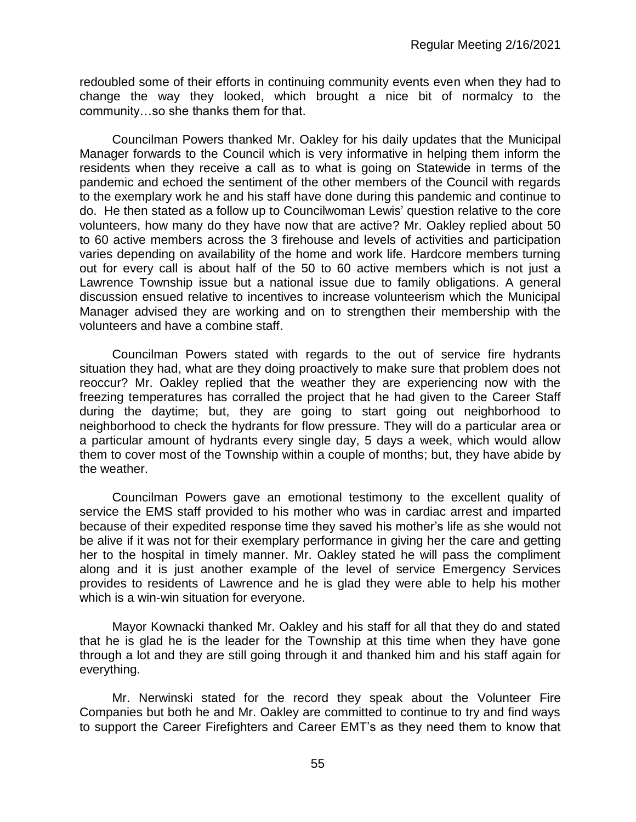redoubled some of their efforts in continuing community events even when they had to change the way they looked, which brought a nice bit of normalcy to the community…so she thanks them for that.

Councilman Powers thanked Mr. Oakley for his daily updates that the Municipal Manager forwards to the Council which is very informative in helping them inform the residents when they receive a call as to what is going on Statewide in terms of the pandemic and echoed the sentiment of the other members of the Council with regards to the exemplary work he and his staff have done during this pandemic and continue to do. He then stated as a follow up to Councilwoman Lewis' question relative to the core volunteers, how many do they have now that are active? Mr. Oakley replied about 50 to 60 active members across the 3 firehouse and levels of activities and participation varies depending on availability of the home and work life. Hardcore members turning out for every call is about half of the 50 to 60 active members which is not just a Lawrence Township issue but a national issue due to family obligations. A general discussion ensued relative to incentives to increase volunteerism which the Municipal Manager advised they are working and on to strengthen their membership with the volunteers and have a combine staff.

Councilman Powers stated with regards to the out of service fire hydrants situation they had, what are they doing proactively to make sure that problem does not reoccur? Mr. Oakley replied that the weather they are experiencing now with the freezing temperatures has corralled the project that he had given to the Career Staff during the daytime; but, they are going to start going out neighborhood to neighborhood to check the hydrants for flow pressure. They will do a particular area or a particular amount of hydrants every single day, 5 days a week, which would allow them to cover most of the Township within a couple of months; but, they have abide by the weather.

Councilman Powers gave an emotional testimony to the excellent quality of service the EMS staff provided to his mother who was in cardiac arrest and imparted because of their expedited response time they saved his mother's life as she would not be alive if it was not for their exemplary performance in giving her the care and getting her to the hospital in timely manner. Mr. Oakley stated he will pass the compliment along and it is just another example of the level of service Emergency Services provides to residents of Lawrence and he is glad they were able to help his mother which is a win-win situation for everyone.

Mayor Kownacki thanked Mr. Oakley and his staff for all that they do and stated that he is glad he is the leader for the Township at this time when they have gone through a lot and they are still going through it and thanked him and his staff again for everything.

Mr. Nerwinski stated for the record they speak about the Volunteer Fire Companies but both he and Mr. Oakley are committed to continue to try and find ways to support the Career Firefighters and Career EMT's as they need them to know that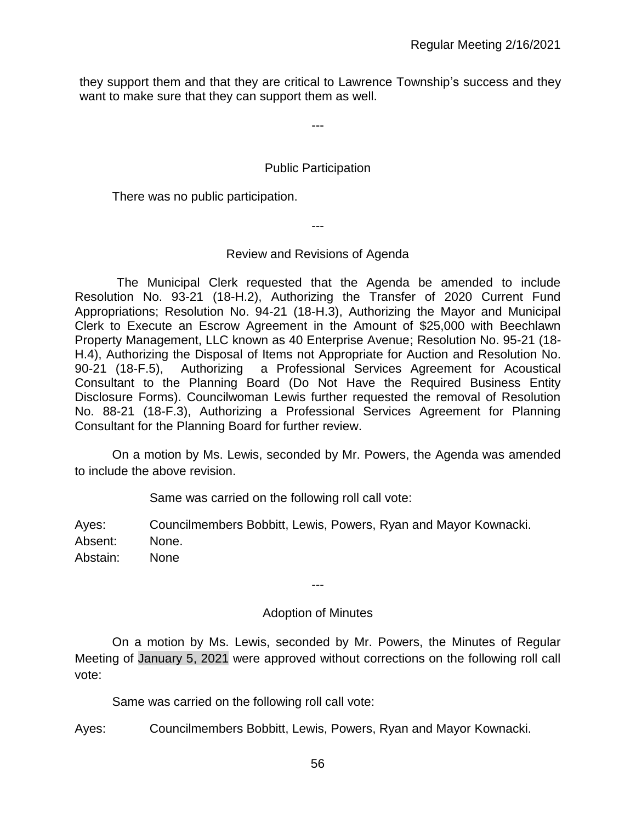they support them and that they are critical to Lawrence Township's success and they want to make sure that they can support them as well.

---

# Public Participation

There was no public participation.

---

# Review and Revisions of Agenda

The Municipal Clerk requested that the Agenda be amended to include Resolution No. 93-21 (18-H.2), Authorizing the Transfer of 2020 Current Fund Appropriations; Resolution No. 94-21 (18-H.3), Authorizing the Mayor and Municipal Clerk to Execute an Escrow Agreement in the Amount of \$25,000 with Beechlawn Property Management, LLC known as 40 Enterprise Avenue; Resolution No. 95-21 (18- H.4), Authorizing the Disposal of Items not Appropriate for Auction and Resolution No. 90-21 (18-F.5), Authorizing a Professional Services Agreement for Acoustical Consultant to the Planning Board (Do Not Have the Required Business Entity Disclosure Forms). Councilwoman Lewis further requested the removal of Resolution No. 88-21 (18-F.3), Authorizing a Professional Services Agreement for Planning Consultant for the Planning Board for further review.

On a motion by Ms. Lewis, seconded by Mr. Powers, the Agenda was amended to include the above revision.

Same was carried on the following roll call vote:

Ayes: Councilmembers Bobbitt, Lewis, Powers, Ryan and Mayor Kownacki. Absent: None. Abstain: None

# Adoption of Minutes

---

On a motion by Ms. Lewis, seconded by Mr. Powers, the Minutes of Regular Meeting of January 5, 2021 were approved without corrections on the following roll call vote:

Same was carried on the following roll call vote:

Ayes: Councilmembers Bobbitt, Lewis, Powers, Ryan and Mayor Kownacki.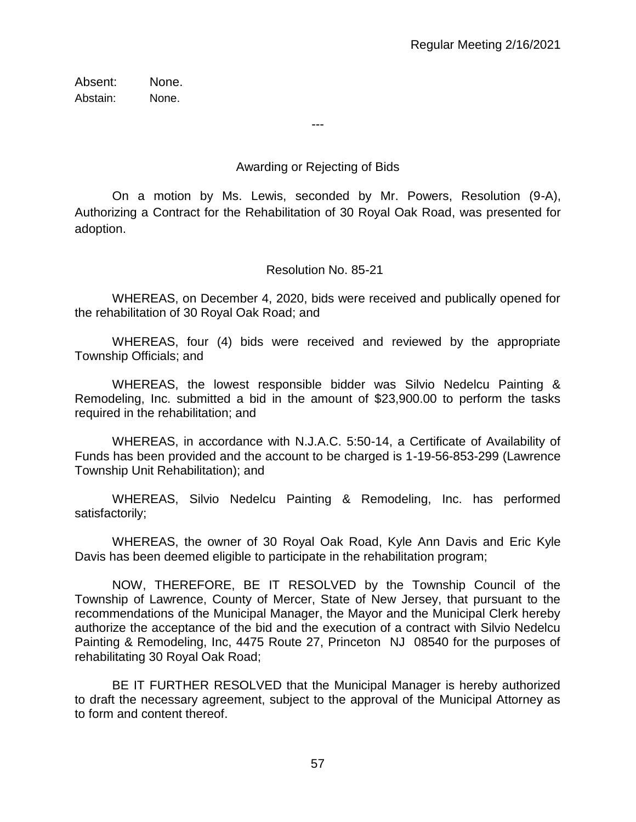Absent: None. Abstain: None.

Awarding or Rejecting of Bids

---

On a motion by Ms. Lewis, seconded by Mr. Powers, Resolution (9-A), Authorizing a Contract for the Rehabilitation of 30 Royal Oak Road, was presented for adoption.

Resolution No. 85-21

WHEREAS, on December 4, 2020, bids were received and publically opened for the rehabilitation of 30 Royal Oak Road; and

WHEREAS, four (4) bids were received and reviewed by the appropriate Township Officials; and

WHEREAS, the lowest responsible bidder was Silvio Nedelcu Painting & Remodeling, Inc. submitted a bid in the amount of \$23,900.00 to perform the tasks required in the rehabilitation; and

WHEREAS, in accordance with N.J.A.C. 5:50-14, a Certificate of Availability of Funds has been provided and the account to be charged is 1-19-56-853-299 (Lawrence Township Unit Rehabilitation); and

WHEREAS, Silvio Nedelcu Painting & Remodeling, Inc. has performed satisfactorily;

WHEREAS, the owner of 30 Royal Oak Road, Kyle Ann Davis and Eric Kyle Davis has been deemed eligible to participate in the rehabilitation program;

NOW, THEREFORE, BE IT RESOLVED by the Township Council of the Township of Lawrence, County of Mercer, State of New Jersey, that pursuant to the recommendations of the Municipal Manager, the Mayor and the Municipal Clerk hereby authorize the acceptance of the bid and the execution of a contract with Silvio Nedelcu Painting & Remodeling, Inc, 4475 Route 27, Princeton NJ 08540 for the purposes of rehabilitating 30 Royal Oak Road;

BE IT FURTHER RESOLVED that the Municipal Manager is hereby authorized to draft the necessary agreement, subject to the approval of the Municipal Attorney as to form and content thereof.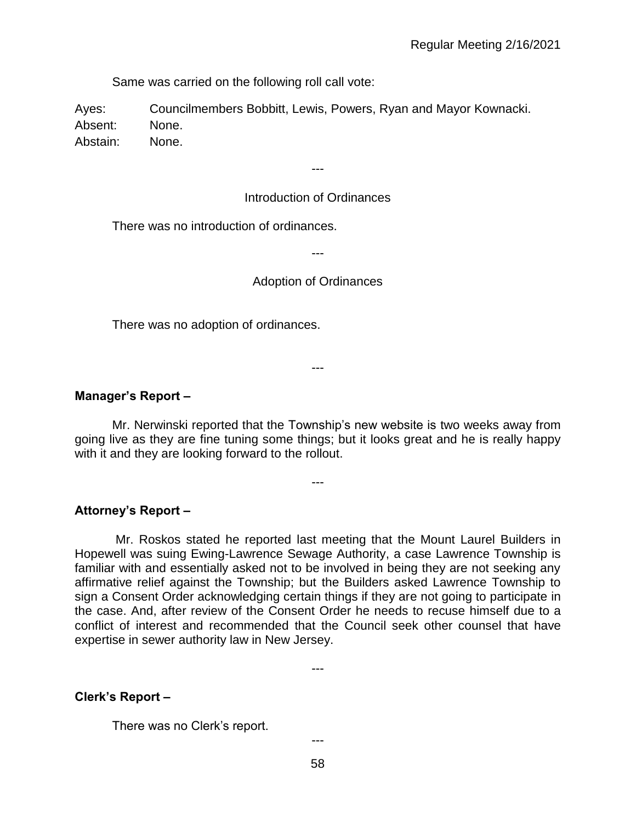Same was carried on the following roll call vote:

Ayes: Councilmembers Bobbitt, Lewis, Powers, Ryan and Mayor Kownacki. Absent: None. Abstain: None.

---

#### Introduction of Ordinances

There was no introduction of ordinances.

---

#### Adoption of Ordinances

There was no adoption of ordinances.

**Manager's Report –**

Mr. Nerwinski reported that the Township's new website is two weeks away from going live as they are fine tuning some things; but it looks great and he is really happy with it and they are looking forward to the rollout.

---

---

**Attorney's Report –**

Mr. Roskos stated he reported last meeting that the Mount Laurel Builders in Hopewell was suing Ewing-Lawrence Sewage Authority, a case Lawrence Township is familiar with and essentially asked not to be involved in being they are not seeking any affirmative relief against the Township; but the Builders asked Lawrence Township to sign a Consent Order acknowledging certain things if they are not going to participate in the case. And, after review of the Consent Order he needs to recuse himself due to a conflict of interest and recommended that the Council seek other counsel that have expertise in sewer authority law in New Jersey.

---

#### **Clerk's Report –**

There was no Clerk's report.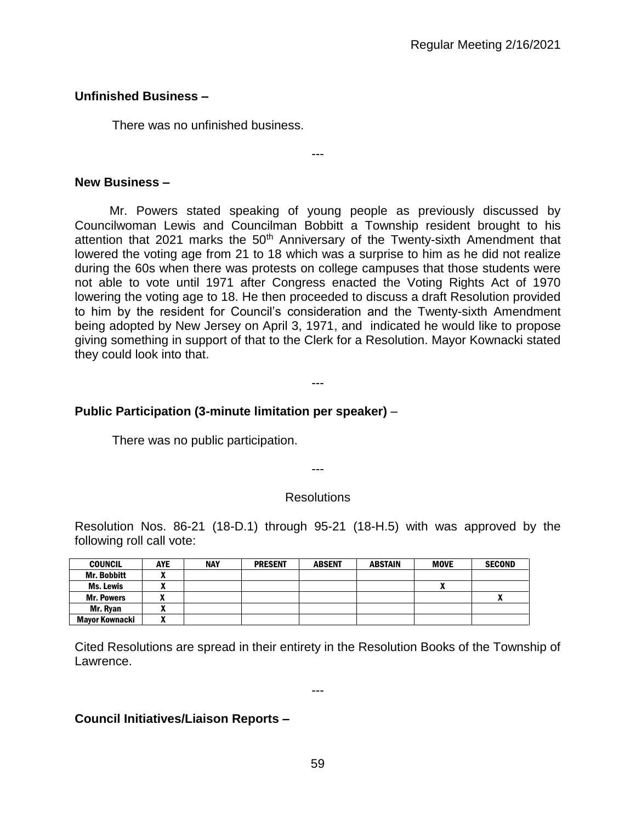# **Unfinished Business –**

There was no unfinished business.

#### **New Business –**

 Mr. Powers stated speaking of young people as previously discussed by Councilwoman Lewis and Councilman Bobbitt a Township resident brought to his attention that 2021 marks the  $50<sup>th</sup>$  Anniversary of the Twenty-sixth Amendment that lowered the voting age from 21 to 18 which was a surprise to him as he did not realize during the 60s when there was protests on college campuses that those students were not able to vote until 1971 after Congress enacted the Voting Rights Act of 1970 lowering the voting age to 18. He then proceeded to discuss a draft Resolution provided to him by the resident for Council's consideration and the Twenty-sixth Amendment being adopted by New Jersey on April 3, 1971, and indicated he would like to propose giving something in support of that to the Clerk for a Resolution. Mayor Kownacki stated they could look into that.

---

#### ---

# **Public Participation (3-minute limitation per speaker)** –

There was no public participation.

# ---

#### **Resolutions**

Resolution Nos. 86-21 (18-D.1) through 95-21 (18-H.5) with was approved by the following roll call vote:

| <b>COUNCIL</b>        | <b>AYE</b> | <b>NAY</b> | <b>PRESENT</b> | <b>ABSENT</b> | <b>ABSTAIN</b> | <b>MOVE</b> | <b>SECOND</b> |
|-----------------------|------------|------------|----------------|---------------|----------------|-------------|---------------|
| <b>Mr. Bobbitt</b>    |            |            |                |               |                |             |               |
| Ms. Lewis             |            |            |                |               |                | A           |               |
| <b>Mr. Powers</b>     | "          |            |                |               |                |             | "             |
| Mr. Rvan              |            |            |                |               |                |             |               |
| <b>Mayor Kownacki</b> |            |            |                |               |                |             |               |

Cited Resolutions are spread in their entirety in the Resolution Books of the Township of Lawrence.

---

# **Council Initiatives/Liaison Reports –**